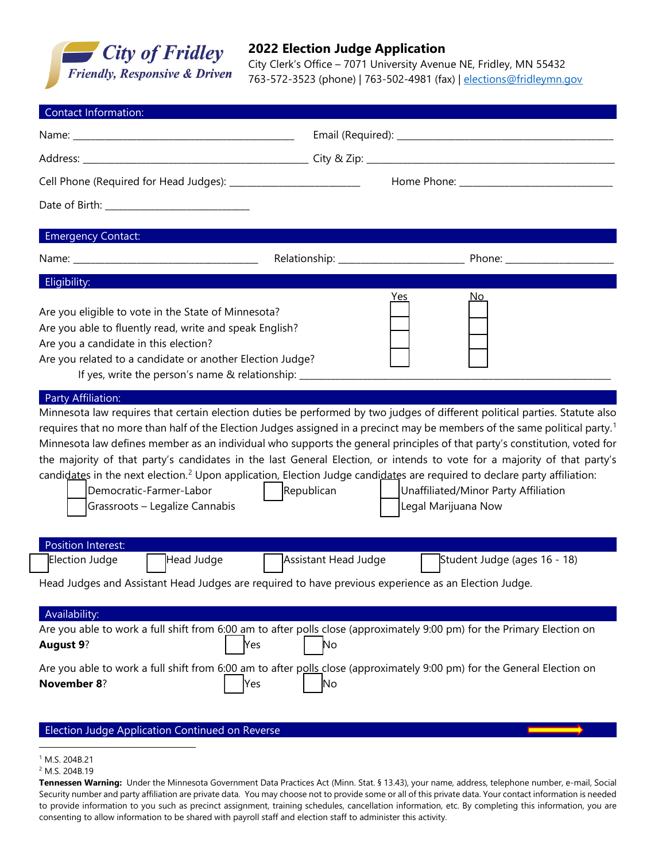

## **2022 Election Judge Application**

City Clerk's Office – 7071 University Avenue NE, Fridley, MN 55432 763-572-3523 (phone) | 763-502-4981 (fax) | [elections@fridleymn.gov](mailto:elections@fridleymn.gov)

| <b>Emergency Contact:</b>                                                                                                                                                                                                                                                              |                      |                                                                                                                                                                                                                                                                                                                                                                                                                                                             |  |  |
|----------------------------------------------------------------------------------------------------------------------------------------------------------------------------------------------------------------------------------------------------------------------------------------|----------------------|-------------------------------------------------------------------------------------------------------------------------------------------------------------------------------------------------------------------------------------------------------------------------------------------------------------------------------------------------------------------------------------------------------------------------------------------------------------|--|--|
|                                                                                                                                                                                                                                                                                        |                      |                                                                                                                                                                                                                                                                                                                                                                                                                                                             |  |  |
| Eligibility:                                                                                                                                                                                                                                                                           |                      | <u>Yes</u><br><u>No</u>                                                                                                                                                                                                                                                                                                                                                                                                                                     |  |  |
| Are you eligible to vote in the State of Minnesota?<br>Are you able to fluently read, write and speak English?<br>Are you a candidate in this election?<br>Are you related to a candidate or another Election Judge?<br>If yes, write the person's name & relationship: ______________ |                      |                                                                                                                                                                                                                                                                                                                                                                                                                                                             |  |  |
|                                                                                                                                                                                                                                                                                        |                      | requires that no more than half of the Election Judges assigned in a precinct may be members of the same political party. <sup>1</sup>                                                                                                                                                                                                                                                                                                                      |  |  |
| Democratic-Farmer-Labor<br>Grassroots - Legalize Cannabis                                                                                                                                                                                                                              | Republican           | Minnesota law defines member as an individual who supports the general principles of that party's constitution, voted for<br>the majority of that party's candidates in the last General Election, or intends to vote for a majority of that party's<br>candidates in the next election. <sup>2</sup> Upon application, Election Judge candidates are required to declare party affiliation:<br>Unaffiliated/Minor Party Affiliation<br>Legal Marijuana Now |  |  |
| Position Interest:<br>Election Judge<br>Head Judge                                                                                                                                                                                                                                     | Assistant Head Judge | Student Judge (ages 16 - 18)                                                                                                                                                                                                                                                                                                                                                                                                                                |  |  |
|                                                                                                                                                                                                                                                                                        |                      |                                                                                                                                                                                                                                                                                                                                                                                                                                                             |  |  |
| Availability:                                                                                                                                                                                                                                                                          | Yes<br>No            | Are you able to work a full shift from 6:00 am to after polls close (approximately 9:00 pm) for the Primary Election on                                                                                                                                                                                                                                                                                                                                     |  |  |
| Head Judges and Assistant Head Judges are required to have previous experience as an Election Judge.<br><b>August 9?</b><br><b>November 8?</b>                                                                                                                                         | Yes<br>No            | Are you able to work a full shift from 6:00 am to after polls close (approximately 9:00 pm) for the General Election on                                                                                                                                                                                                                                                                                                                                     |  |  |

<span id="page-0-0"></span><sup>1</sup> M.S. 204B.21

<span id="page-0-1"></span><sup>2</sup> M.S. 204B.19

**Tennessen Warning:** Under the Minnesota Government Data Practices Act (Minn. Stat. § 13.43), your name, address, telephone number, e-mail, Social Security number and party affiliation are private data. You may choose not to provide some or all of this private data. Your contact information is needed to provide information to you such as precinct assignment, training schedules, cancellation information, etc. By completing this information, you are consenting to allow information to be shared with payroll staff and election staff to administer this activity.